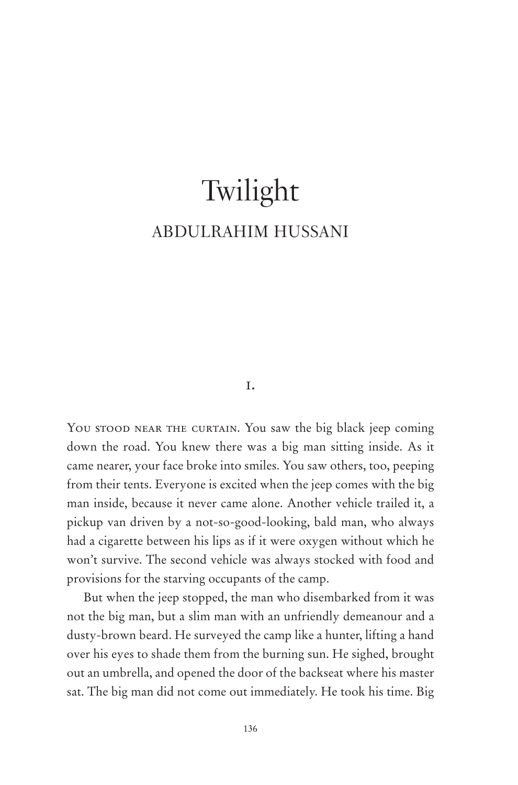# Twilight

# ABDULRAHIM HUSSANI

#### i.

YOU STOOD NEAR THE CURTAIN. You saw the big black jeep coming down the road. You knew there was a big man sitting inside. As it came nearer, your face broke into smiles. You saw others, too, peeping from their tents. Everyone is excited when the jeep comes with the big man inside, because it never came alone. Another vehicle trailed it, a pickup van driven by a not-so-good-looking, bald man, who always had a cigarette between his lips as if it were oxygen without which he won't survive. The second vehicle was always stocked with food and provisions for the starving occupants of the camp.

But when the jeep stopped, the man who disembarked from it was not the big man, but a slim man with an unfriendly demeanour and a dusty-brown beard. He surveyed the camp like a hunter, lifting a hand over his eyes to shade them from the burning sun. He sighed, brought out an umbrella, and opened the door of the backseat where his master sat. The big man did not come out immediately. He took his time. Big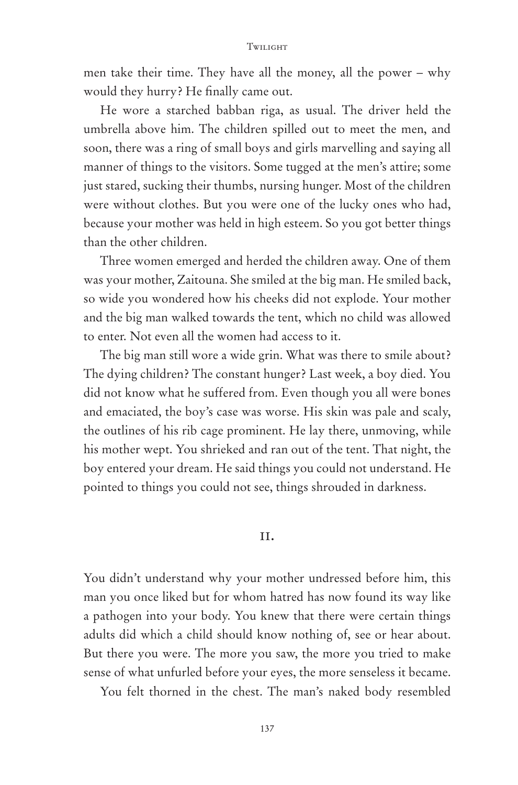men take their time. They have all the money, all the power – why would they hurry? He finally came out.

He wore a starched babban riga, as usual. The driver held the umbrella above him. The children spilled out to meet the men, and soon, there was a ring of small boys and girls marvelling and saying all manner of things to the visitors. Some tugged at the men's attire; some just stared, sucking their thumbs, nursing hunger. Most of the children were without clothes. But you were one of the lucky ones who had, because your mother was held in high esteem. So you got better things than the other children.

Three women emerged and herded the children away. One of them was your mother, Zaitouna. She smiled at the big man. He smiled back, so wide you wondered how his cheeks did not explode. Your mother and the big man walked towards the tent, which no child was allowed to enter. Not even all the women had access to it.

The big man still wore a wide grin. What was there to smile about? The dying children? The constant hunger? Last week, a boy died. You did not know what he suffered from. Even though you all were bones and emaciated, the boy's case was worse. His skin was pale and scaly, the outlines of his rib cage prominent. He lay there, unmoving, while his mother wept. You shrieked and ran out of the tent. That night, the boy entered your dream. He said things you could not understand. He pointed to things you could not see, things shrouded in darkness.

#### ii.

You didn't understand why your mother undressed before him, this man you once liked but for whom hatred has now found its way like a pathogen into your body. You knew that there were certain things adults did which a child should know nothing of, see or hear about. But there you were. The more you saw, the more you tried to make sense of what unfurled before your eyes, the more senseless it became.

You felt thorned in the chest. The man's naked body resembled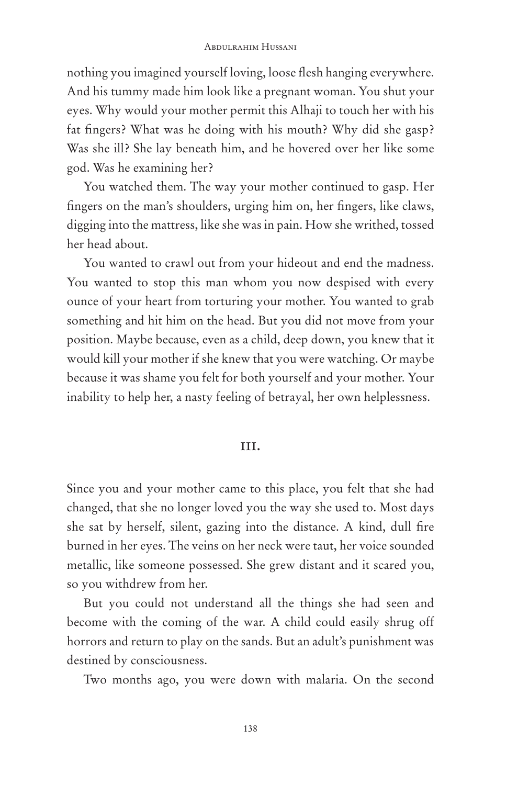#### Abdulrahim Hussani

nothing you imagined yourself loving, loose flesh hanging everywhere. And his tummy made him look like a pregnant woman. You shut your eyes. Why would your mother permit this Alhaji to touch her with his fat fingers? What was he doing with his mouth? Why did she gasp? Was she ill? She lay beneath him, and he hovered over her like some god. Was he examining her?

You watched them. The way your mother continued to gasp. Her fingers on the man's shoulders, urging him on, her fingers, like claws, digging into the mattress, like she was in pain. How she writhed, tossed her head about.

You wanted to crawl out from your hideout and end the madness. You wanted to stop this man whom you now despised with every ounce of your heart from torturing your mother. You wanted to grab something and hit him on the head. But you did not move from your position. Maybe because, even as a child, deep down, you knew that it would kill your mother if she knew that you were watching. Or maybe because it was shame you felt for both yourself and your mother. Your inability to help her, a nasty feeling of betrayal, her own helplessness.

#### iii.

Since you and your mother came to this place, you felt that she had changed, that she no longer loved you the way she used to. Most days she sat by herself, silent, gazing into the distance. A kind, dull fire burned in her eyes. The veins on her neck were taut, her voice sounded metallic, like someone possessed. She grew distant and it scared you, so you withdrew from her.

But you could not understand all the things she had seen and become with the coming of the war. A child could easily shrug off horrors and return to play on the sands. But an adult's punishment was destined by consciousness.

Two months ago, you were down with malaria. On the second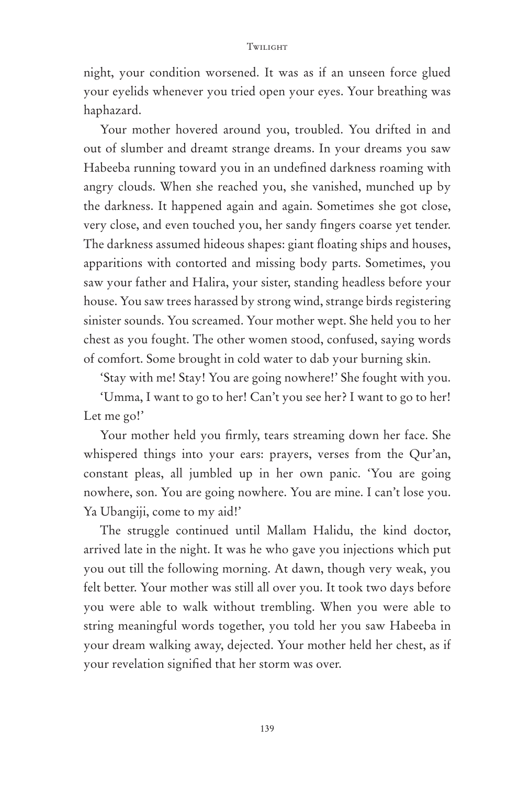#### Twilight

night, your condition worsened. It was as if an unseen force glued your eyelids whenever you tried open your eyes. Your breathing was haphazard.

Your mother hovered around you, troubled. You drifted in and out of slumber and dreamt strange dreams. In your dreams you saw Habeeba running toward you in an undefined darkness roaming with angry clouds. When she reached you, she vanished, munched up by the darkness. It happened again and again. Sometimes she got close, very close, and even touched you, her sandy fingers coarse yet tender. The darkness assumed hideous shapes: giant floating ships and houses, apparitions with contorted and missing body parts. Sometimes, you saw your father and Halira, your sister, standing headless before your house. You saw trees harassed by strong wind, strange birds registering sinister sounds. You screamed. Your mother wept. She held you to her chest as you fought. The other women stood, confused, saying words of comfort. Some brought in cold water to dab your burning skin.

'Stay with me! Stay! You are going nowhere!' She fought with you.

'Umma, I want to go to her! Can't you see her? I want to go to her! Let me go!'

Your mother held you firmly, tears streaming down her face. She whispered things into your ears: prayers, verses from the Qur'an, constant pleas, all jumbled up in her own panic. 'You are going nowhere, son. You are going nowhere. You are mine. I can't lose you. Ya Ubangiji, come to my aid!'

The struggle continued until Mallam Halidu, the kind doctor, arrived late in the night. It was he who gave you injections which put you out till the following morning. At dawn, though very weak, you felt better. Your mother was still all over you. It took two days before you were able to walk without trembling. When you were able to string meaningful words together, you told her you saw Habeeba in your dream walking away, dejected. Your mother held her chest, as if your revelation signified that her storm was over.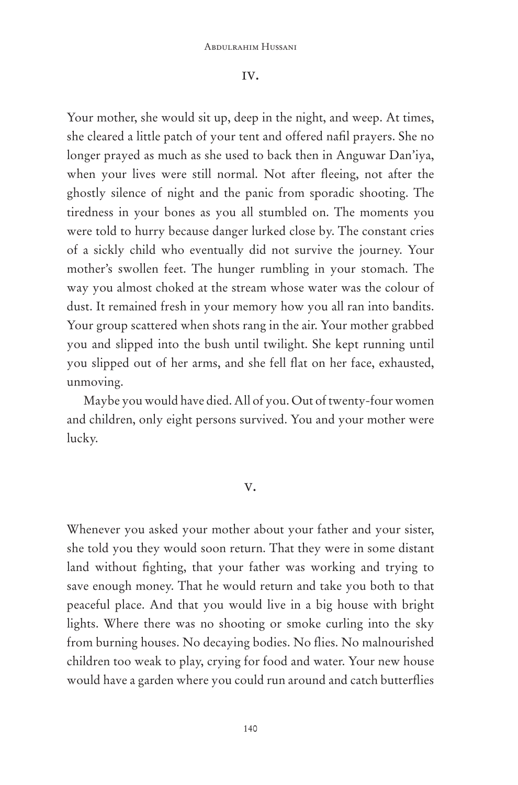# iv.

Your mother, she would sit up, deep in the night, and weep. At times, she cleared a little patch of your tent and offered nafil prayers. She no longer prayed as much as she used to back then in Anguwar Dan'iya, when your lives were still normal. Not after fleeing, not after the ghostly silence of night and the panic from sporadic shooting. The tiredness in your bones as you all stumbled on. The moments you were told to hurry because danger lurked close by. The constant cries of a sickly child who eventually did not survive the journey. Your mother's swollen feet. The hunger rumbling in your stomach. The way you almost choked at the stream whose water was the colour of dust. It remained fresh in your memory how you all ran into bandits. Your group scattered when shots rang in the air. Your mother grabbed you and slipped into the bush until twilight. She kept running until you slipped out of her arms, and she fell flat on her face, exhausted, unmoving.

Maybe you would have died. All of you. Out of twenty-four women and children, only eight persons survived. You and your mother were lucky.

# v.

Whenever you asked your mother about your father and your sister, she told you they would soon return. That they were in some distant land without fighting, that your father was working and trying to save enough money. That he would return and take you both to that peaceful place. And that you would live in a big house with bright lights. Where there was no shooting or smoke curling into the sky from burning houses. No decaying bodies. No flies. No malnourished children too weak to play, crying for food and water. Your new house would have a garden where you could run around and catch butterflies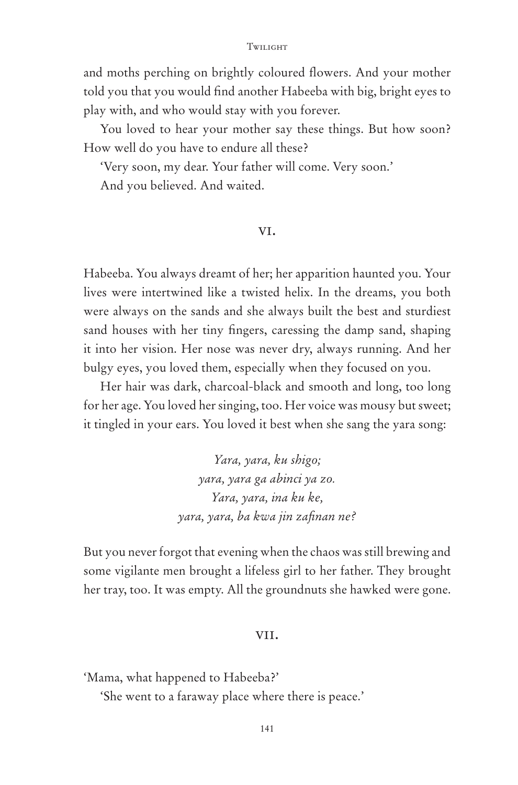#### **TWILIGHT**

and moths perching on brightly coloured flowers. And your mother told you that you would find another Habeeba with big, bright eyes to play with, and who would stay with you forever.

You loved to hear your mother say these things. But how soon? How well do you have to endure all these?

'Very soon, my dear. Your father will come. Very soon.' And you believed. And waited.

#### vi.

Habeeba. You always dreamt of her; her apparition haunted you. Your lives were intertwined like a twisted helix. In the dreams, you both were always on the sands and she always built the best and sturdiest sand houses with her tiny fingers, caressing the damp sand, shaping it into her vision. Her nose was never dry, always running. And her bulgy eyes, you loved them, especially when they focused on you.

Her hair was dark, charcoal-black and smooth and long, too long for her age. You loved her singing, too. Her voice was mousy but sweet; it tingled in your ears. You loved it best when she sang the yara song:

> *Yara, yara, ku shigo; yara, yara ga abinci ya zo. Yara, yara, ina ku ke, yara, yara, ba kwa jin zafinan ne?*

But you never forgot that evening when the chaos was still brewing and some vigilante men brought a lifeless girl to her father. They brought her tray, too. It was empty. All the groundnuts she hawked were gone.

# vii.

'Mama, what happened to Habeeba?'

'She went to a faraway place where there is peace.'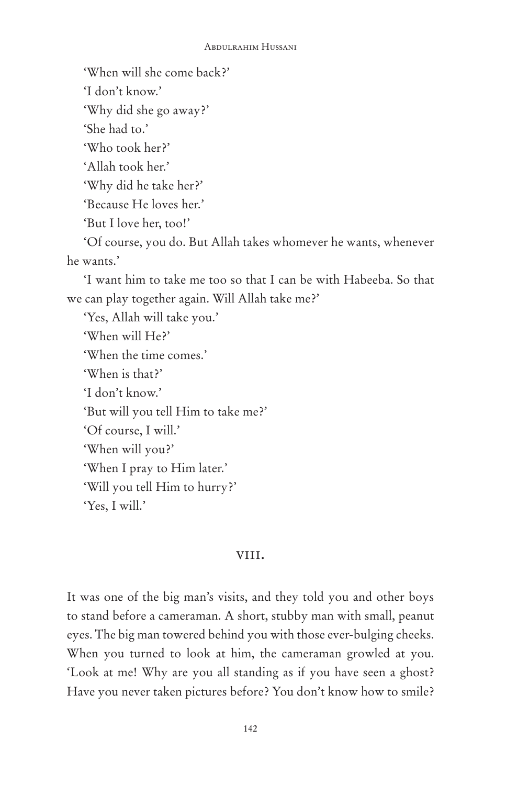#### Abdulrahim Hussani

'When will she come back?'

'I don't know.'

'Why did she go away?'

'She had to.'

'Who took her?'

'Allah took her.'

'Why did he take her?'

'Because He loves her.'

'But I love her, too!'

'Of course, you do. But Allah takes whomever he wants, whenever he wants.'

'I want him to take me too so that I can be with Habeeba. So that we can play together again. Will Allah take me?'

'Yes, Allah will take you.'

'When will He?'

'When the time comes.'

'When is that?'

'I don't know.'

'But will you tell Him to take me?'

'Of course, I will.'

'When will you?'

'When I pray to Him later.'

'Will you tell Him to hurry?'

'Yes, I will.'

# VIII.

It was one of the big man's visits, and they told you and other boys to stand before a cameraman. A short, stubby man with small, peanut eyes. The big man towered behind you with those ever-bulging cheeks. When you turned to look at him, the cameraman growled at you. 'Look at me! Why are you all standing as if you have seen a ghost? Have you never taken pictures before? You don't know how to smile?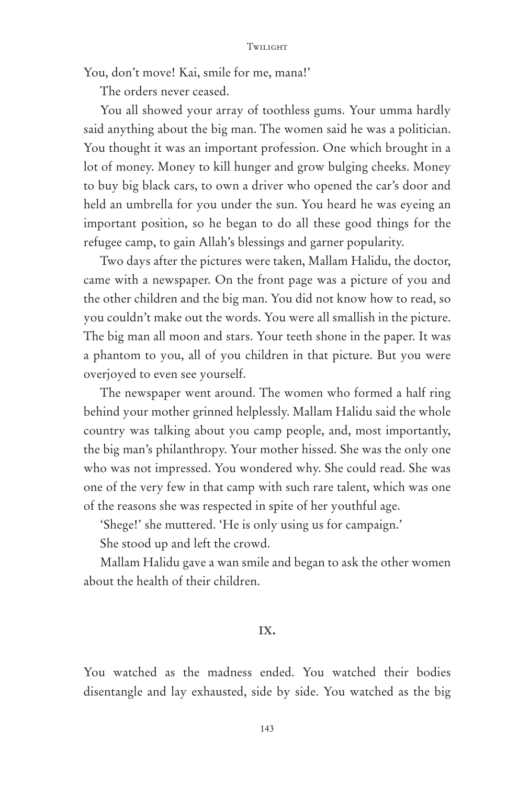You, don't move! Kai, smile for me, mana!'

The orders never ceased.

You all showed your array of toothless gums. Your umma hardly said anything about the big man. The women said he was a politician. You thought it was an important profession. One which brought in a lot of money. Money to kill hunger and grow bulging cheeks. Money to buy big black cars, to own a driver who opened the car's door and held an umbrella for you under the sun. You heard he was eyeing an important position, so he began to do all these good things for the refugee camp, to gain Allah's blessings and garner popularity.

Two days after the pictures were taken, Mallam Halidu, the doctor, came with a newspaper. On the front page was a picture of you and the other children and the big man. You did not know how to read, so you couldn't make out the words. You were all smallish in the picture. The big man all moon and stars. Your teeth shone in the paper. It was a phantom to you, all of you children in that picture. But you were overjoyed to even see yourself.

The newspaper went around. The women who formed a half ring behind your mother grinned helplessly. Mallam Halidu said the whole country was talking about you camp people, and, most importantly, the big man's philanthropy. Your mother hissed. She was the only one who was not impressed. You wondered why. She could read. She was one of the very few in that camp with such rare talent, which was one of the reasons she was respected in spite of her youthful age.

'Shege!' she muttered. 'He is only using us for campaign.'

She stood up and left the crowd.

Mallam Halidu gave a wan smile and began to ask the other women about the health of their children.

# ix.

You watched as the madness ended. You watched their bodies disentangle and lay exhausted, side by side. You watched as the big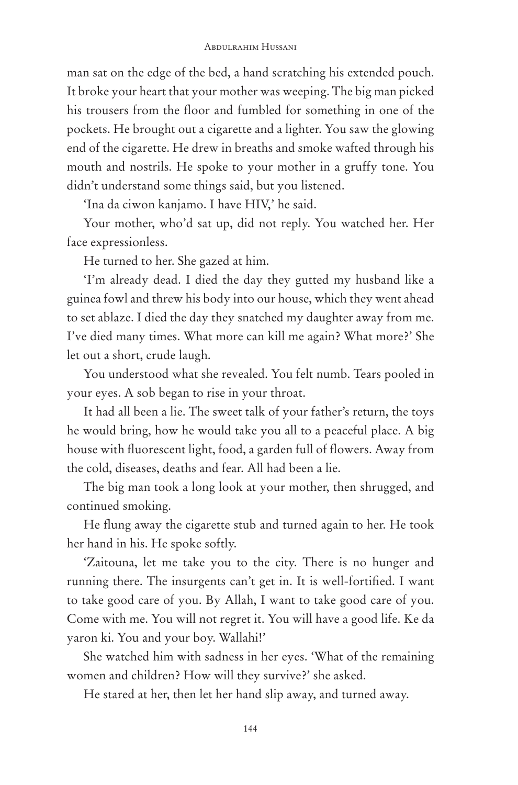man sat on the edge of the bed, a hand scratching his extended pouch. It broke your heart that your mother was weeping. The big man picked his trousers from the floor and fumbled for something in one of the pockets. He brought out a cigarette and a lighter. You saw the glowing end of the cigarette. He drew in breaths and smoke wafted through his mouth and nostrils. He spoke to your mother in a gruffy tone. You didn't understand some things said, but you listened.

'Ina da ciwon kanjamo. I have HIV,' he said.

Your mother, who'd sat up, did not reply. You watched her. Her face expressionless.

He turned to her. She gazed at him.

'I'm already dead. I died the day they gutted my husband like a guinea fowl and threw his body into our house, which they went ahead to set ablaze. I died the day they snatched my daughter away from me. I've died many times. What more can kill me again? What more?' She let out a short, crude laugh.

You understood what she revealed. You felt numb. Tears pooled in your eyes. A sob began to rise in your throat.

It had all been a lie. The sweet talk of your father's return, the toys he would bring, how he would take you all to a peaceful place. A big house with fluorescent light, food, a garden full of flowers. Away from the cold, diseases, deaths and fear. All had been a lie.

The big man took a long look at your mother, then shrugged, and continued smoking.

He flung away the cigarette stub and turned again to her. He took her hand in his. He spoke softly.

'Zaitouna, let me take you to the city. There is no hunger and running there. The insurgents can't get in. It is well-fortified. I want to take good care of you. By Allah, I want to take good care of you. Come with me. You will not regret it. You will have a good life. Ke da yaron ki. You and your boy. Wallahi!'

She watched him with sadness in her eyes. 'What of the remaining women and children? How will they survive?' she asked.

He stared at her, then let her hand slip away, and turned away.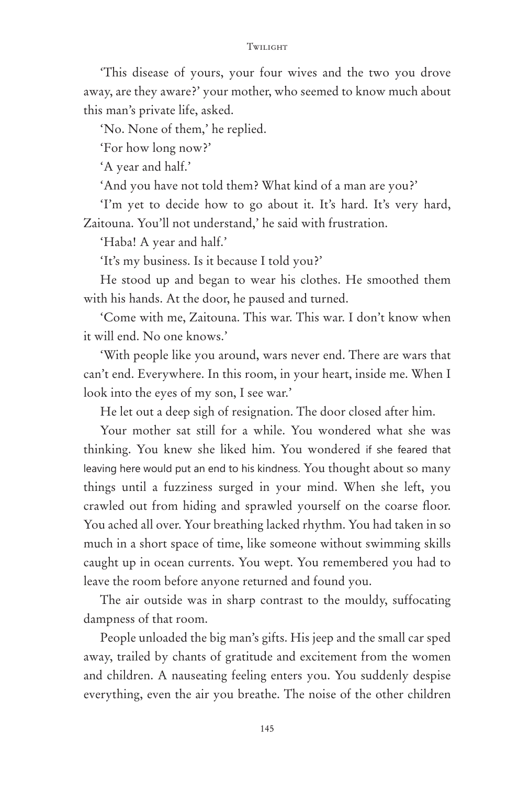#### **TWILIGHT**

'This disease of yours, your four wives and the two you drove away, are they aware?' your mother, who seemed to know much about this man's private life, asked.

'No. None of them,' he replied.

'For how long now?'

'A year and half.'

'And you have not told them? What kind of a man are you?'

'I'm yet to decide how to go about it. It's hard. It's very hard, Zaitouna. You'll not understand,' he said with frustration.

'Haba! A year and half.'

'It's my business. Is it because I told you?'

He stood up and began to wear his clothes. He smoothed them with his hands. At the door, he paused and turned.

'Come with me, Zaitouna. This war. This war. I don't know when it will end. No one knows.'

'With people like you around, wars never end. There are wars that can't end. Everywhere. In this room, in your heart, inside me. When I look into the eyes of my son, I see war.'

He let out a deep sigh of resignation. The door closed after him.

Your mother sat still for a while. You wondered what she was thinking. You knew she liked him. You wondered if she feared that leaving here would put an end to his kindness. You thought about so many things until a fuzziness surged in your mind. When she left, you crawled out from hiding and sprawled yourself on the coarse floor. You ached all over. Your breathing lacked rhythm. You had taken in so much in a short space of time, like someone without swimming skills caught up in ocean currents. You wept. You remembered you had to leave the room before anyone returned and found you.

The air outside was in sharp contrast to the mouldy, suffocating dampness of that room.

People unloaded the big man's gifts. His jeep and the small car sped away, trailed by chants of gratitude and excitement from the women and children. A nauseating feeling enters you. You suddenly despise everything, even the air you breathe. The noise of the other children